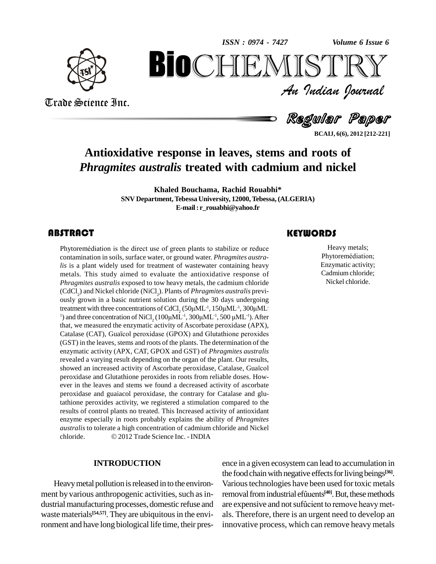*Volume 6 Issue 6*



Trade Science Inc.

Trade Science Inc.

An Indian Journal<br>Regular Paper *Volume 6 Issue 6*<br> $\sum \mathbb{R} \mathbb{Y}$ <br>*Indian Ocurnal* **BiOCHEMISTRY**<br>Au Indian Journal<br>Regular Paper<br>e response in leaves, stems and roots of<br>ustralis treated with cadmium and nickel

**BCAIJ, 6(6), 2012 [212-221]**

## **Antioxidative response in leaves, stems and roots of** *Phragmites australis* **treated with cadmium and nickel**

**Khaled Bouchama, Rachid Rouabhi\* SNV Department,Tebessa University, 12000,Tebessa, (ALGERIA) E-mail: [r\\_rouabhi@yahoo.fr](mailto:r_rouabhi@yahoo.fr)**

Phytoremédiation is the direct use of green plants to stabilize or reduce<br>contamination in soils, surface water, or ground water. *Phragmites austra-*<br>*lis* is a plant widely used for treatment of wastewater containing hea **ABSTRACT**<br>Phytoremédiation is the direct use of green plants to stabilize or reduce Hearth Phytoremédiation is the direct use of green plants to stabilize or reduce contamination in soils, surface water, or ground water. *Phragmites austra*metals*.* This study aimed to evaluate the antioxidative response of *Phragmites australis* exposed to tow heavy metals, the cadmium chloride (CdCl<sub>2</sub>) and Nickel chloride (NiCl<sub>2</sub>). Plants of *Phragmites australis* previ-<br>ously grown in a basic nutrient solution during the 30 days undergoing (CdCl<sub>2</sub>) and Nickel chloride (NiCl<sub>2</sub>). Plants of *Phragmites australis* previously grown in a basic nutrient solution during the 30 days undergoing treatment with three concentrations of CdCl<sub>2</sub> (50 $\mu$ ML<sup>-1</sup>, 150 $\mu$ ML ously grown in a basic nutrient solution during the 30 days und<br>treatment with three concentrations of CdCl<sub>2</sub> (50 $\mu$ ML<sup>-1</sup>, 150 $\mu$ ML<sup>-1</sup>, 3<br><sup>1</sup>) and three concentration of NiCl<sub>2</sub> (100 $\mu$ ML<sup>-1</sup>, 300 $\mu$ ML<sup>-1</sup>, 500 $\mu$ uring the 30 days undergoing<br>(50μML<sup>-1</sup>, 150μML<sup>-1</sup>, 300μML<br><sup>-1</sup>, 300μML<sup>-1</sup>, 500 μML<sup>-1</sup>). After that, we measured the enzymatic activity of Ascorbate peroxidase (APX), <sup>1</sup>) and three concentration of NiCl<sub>2</sub> (100 $\mu$ ML<sup>-1</sup>, 300 $\mu$ ML<sup>-1</sup>, 500 $\mu$ ML<sup>-1</sup>). After that, we measured the enzymatic activity of Ascorbate peroxidase (APX), Catalase (CAT), Guaïcol peroxidase (GPOX) and Glutathion (GST) in the leaves, stems and roots of the plants. The determination of the enzymatic activity (APX, CAT, GPOX andGST) of *Phragmites australis* revealed a varying result depending on the organ of the plant. Our results, enzymatic activity (APX, CAT, GPOX and GST) of *Phragmites australis*<br>revealed a varying result depending on the organ of the plant. Our results,<br>showed an increased activity of Ascorbate peroxidase, Catalase, Guaïcol peroxidase and Glutathione peroxides in roots from reliable doses. How ever in the leaves and stems we found a decreased activity of ascorbate peroxidase and guaiacol peroxidase, the contrary for Catalase and glutathione peroxides activity, we registered a stimulation compared to the results of control plants no treated. This Increased activity of antioxidant enzyme especially in roots probably explains the ability of *Phragmites australis* to tolerate a high concentration of cadmium chloride and Nickel chloride.  $\textcircled{2012}$  Trade Science Inc. - INDIA *australis* to tolerate a high concentration of cadmium chloride and Nickel

#### **INTRODUCTION**

Heavy metal pollution is released in to the environment by various anthropogenic activities, such as industrial manufacturing processes, domestic refuse and are expensive and not sufficient to remove heavy metwaste materials<sup>[54,57]</sup>. They are ubiquitous in the environment and have long biological life time, their pres-

Heavy metals;<br>
Phytoremédiation;<br>
Enzymatic activity; Heavy metals; Enzymatic activity; Cadmiumchloride; Nickel chloride.

ence in a given ecosystem can lead to accumulation in the food chain with negative effects for living beings<sup>[36]</sup>. Various technologies have been used for toxic metals the food chain with negative effects for living beings<sup>[36]</sup>.<br>Various technologies have been used for toxic metals<br>removal from industrial efûuents<sup>[40]</sup>. But, these methods Various technologies have been used for toxic metals<br>removal from industrial efûuents<sup>[40]</sup>. But, these methods<br>are expensive and not sufûcient to remove heavy metals. Therefore, there is an urgent need to develop an innovative process, which can remove heavy metals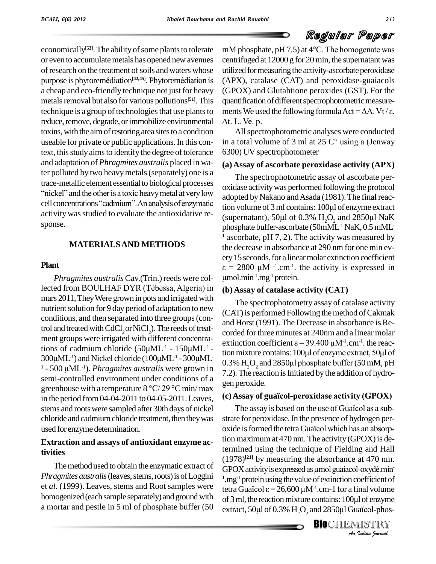economically<sup>[53]</sup>. The ability of some plants to tolerate mM p or even to accumulate metals has opened new avenues centrof research on the treatment of soils and waters whose utiliz purpose is phytoremédiation<sup>[42,45]</sup>. Phytoremédiation is (AP) of research on the treatment of soils and waters whose a cheap and eco-friendly technique not just for heavy metals removal but also for various pollutions<sup>[51]</sup>. This quan reduce, remove, degrade, or immobilize environmental  $\Delta t$ . L. Ve. p. toxins, with the aim of restoring area sites to a condition useable for private or public applications. In this context, this study aims to identify the degree of tolerance and adaptation of *Phragmites australis* placed in water polluted by two heavy metals (separately) one is a<br>trace-metallic element essential to biological processes oxidase act:<br>"nickel" and the other is a toxic heavy metal at very low trace-metallic element essential to biological processes<br>"nickel" and the other is a toxic heavy metal at very low<br>cell concentrations "cadmium". An analysis of enzymatic sponse.

#### **MATERIALSAND METHODS**

#### **Plant**

*Phragmites australis* Cav. (Trin.) reeds were collected from BOULHAF DYR (TÈbessa, Algeria) in mars 2011, They Were grown in pots and irrigated with nutrient solution for 9 day period of adaptation to new conditions, and then separated into three groups(control and treated with CdCl<sub>2</sub> or NiCl<sub>2</sub>). The reeds of treat-<br>ment groups were irrigated with different concentra-<br>tions of cadmium chloride  $(50\mu ML^{-1} - 150\mu ML^{-1}$ trol and treated with CdCl<sub>2</sub> or NiCl<sub>2</sub>). The reeds of treattions of cadmium chloride  $(50\mu\text{ML}^{-1} - 150\mu\text{ML}^{-1} - 300\mu\text{ML}^{-1})$ <br>300 $\mu$ ML<sup>-1</sup>) and Nickel chloride  $(100\mu\text{ML}^{-1} - 300\mu\text{ML}^{-1})$ <br>1 - 500  $\mu$ ML<sup>-1</sup>). *Phragmites australis* were grown in ment groups were irrigated with different concentra-<br>tions of cadmium chloride  $(50\mu\text{ML}^{-1} - 150\mu\text{ML}^{-1})$ <br>300 $\mu$ ML<sup>-1</sup>) and Nickel chloride  $(100\mu\text{ML}^{-1} - 300\mu\text{ML})$ <sup>1</sup> - 500 μML<sup>-1</sup>). *Phragmites australis* were grown in semi-controlled environment under conditions of a greenhouse with <sup>a</sup> temperature <sup>8</sup> °C/ <sup>29</sup> °C min/ max in the period from04-04-2011 to 04-05-2011.Leaves, stems and rootswere sampled after 30th days of nickel chloride and cadmium chloride treatment, then they was used forenzyme determination.

### **Extraction and assays of antioxidant enzyme activities**

The method used to obtain the enzymatic extract of *Phragmites australis* (leaves, stems, roots) is of Loggini et *al*. (1999). Leaves, stems and Root samples were homogenized (each sample separately) and ground with of  $3 \text{ ml}$ , the reaction mixture contains: 100 $\mu$ l of enzyme a mortar and pestle in 5 ml of phosphate buffer (50

technique is a group of technologies that use plants to ments We used the following formula  $Act = \Delta A$ . Vt/ $\varepsilon$ . mM phosphate,  $pH 7.5$ ) at  $4^{\circ}$ C. The homogenate was centrifuged at 12000 g for 20 min, the supernatant was utilized for measuring the activity-ascorbate peroxidase (APX), catalase (CAT) and peroxidase-guaiacols (GPOX) and Glutahtione peroxides (GST). For the quantification of different spectrophotometric measurements We used the following formula  $Act = \Delta A$ . Vt/ $\varepsilon$ . quantification of different spectrophotometric measure-<br>ments We used the following formula  $Act = \Delta A$ . Vt/ $\varepsilon$ .<br> $\Delta t$ . L. Ve. p.

> All spectrophotometric analyses were conducted in a total volume of 3 ml at  $25 \degree$  using a (Jenway 6300) UV spectrophotometer

#### **(a)Assay of ascorbate peroxidase activity (APX)**

activity was studied to evaluate the antioxidative re-<br>(supernatant), 50 $\mu$ l of 0.3% H<sub>2</sub>O<sub>2</sub> and 2850 $\mu$ l NaK The spectrophotometric assay of ascorbate per oxidase activitywas performed following the protocol adopted by Nakano and Asada (1981). The final reacoxidase activity was performed following the protocol<br>adopted by Nakano and Asada (1981). The final reac-<br>tion volume of 3 ml contains: 100µl of enzyme extract adopted by Nakano and Asada (1981). The final reaction volume of 3 ml contains: 100µl of enzyme extract<br>(supernatant), 50µl of 0.3%  $\text{H}_{2}\text{O}_{2}$  and 2850µl NaK phosphate buffer-ascorbate (50mML<sup>-1</sup> NaK, 0.5 mML<sup>-</sup> ascorbate,  $pH 7, 2$ ). The activity was measured by the decrease in absorbance at 290 nm for one min every 15 seconds. for a linear molar extinction coefficient  $\varepsilon = 2800 \mu M^{-1}$ . The activity is expressed in ery 15 seconds. for a linear molar extinction coefficient .cm-1 . the activity is expressed in  $^{-1}$ .mg $^{-1}$  protein.

#### **(b)Assay of catalase activity (CAT)**

corded for three minutes at 240nm and a linear molar<br>extinction coefficient  $\varepsilon = 39.400 \mu M^{-1}$ .cm<sup>-1</sup>, the reac-<br>tion mixture contains: 100 $\mu$ l of enzyme extract, 50 $\mu$ l of The spectrophotometry assay of catalase activity (CAT) is performed Following the method of Cakmak and Horst (1991). The Decrease in absorbance is Recorded for three minutes at 240nm and a linear molar extinction coefficient  $\varepsilon = 39.400 \mu M^{-1}$ .cm<sup>-1</sup>, the reaccorded for three minutes at 240nm and a linear molar .cm-1 . the reac- $0.3\%$  H<sub>2</sub>O<sub>2</sub> and 2850 $\mu$ l phosphate buffer (50 mM, pH 7.2). The reaction is Initiated by the addition of hydrogen peroxide. 7.2). The reaction is Initiated by the addition of hydrogen peroxide.<br>gen peroxide.<br>(**c) Assay of guaïcol-peroxidase activity (GPOX)** 

 $GPOX$  activity is expressed as µmol guaiacol-oxydé.min<sup>1</sup>.mg<sup>-1</sup> protein using the value of extinction coefficient of tetra Guaïcol  $\varepsilon = 26,600 \mu M^{-1}$ .cm-1 for a final volume *I*<br>**Indian** volume<br>**I**<br>**IISTRY**<br>Indian fournal peroxide.<br>**Assay of guaïcol-peroxidase activity (GPOX)**<br>The assay is based on the use of Guaïcol as a substrate for peroxidase.In the presence of hydrogen per- The assay is based on the use of Guaïcol as a sub-<br>strate for peroxidase. In the presence of hydrogen per-<br>oxide is formed the tetra Guaïcol which has an absorption maximum at 470 nm. The activity (GPOX) is determined using the technique of Fielding and Hall<br>(1978)<sup>[21]</sup> by measuring the absorbance at 470 nm.<br>GPOX activity is expressed as µmol guaiacol-oxydé.min (1978) **[21]** by measuring the absorbance at 470 nm. <sup>1</sup>.mg<sup>-1</sup> protein using the value of extinction coefficient of<br>tetra Guaïcol  $\varepsilon = 26,600 \mu M^{-1}$ .cm-1 for a final volume<br>of 3 ml, the reaction mixture contains: 100 $\mu$ l of enzyme tetra Guaïcol  $\varepsilon = 26,600 \mu M^{-1}$ .cm-1 for a final volume tetra Guaïcol  $\varepsilon = 26,600 \mu M^{-1}$ .cm-1 for a final volume<br>of 3 ml, the reaction mixture contains: 100 $\mu$ l of enzyme<br>extract, 50 $\mu$ l of 0.3%  $H_2O_2$  and 2850 $\mu$ l Guaïcol-phos-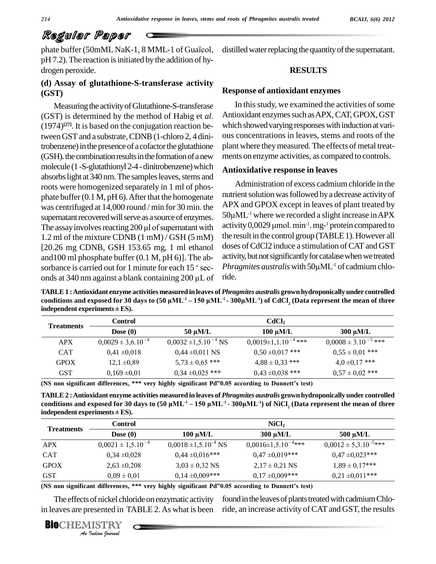phate buffer (50mML NaK-1, 8 MML-1 of Guaïcol,  $pH 7.2$ ). The reaction is initiated by the addition of hydrogen peroxide.

### **(d) Assay ofglutathione-S-transferase activity (GST)**

Measuring the activity of Glutathione-S-transferase (GST) is determined by the method of Habig et *al*.  $(1974)^{[27]}$ . It is based on the conjugation reaction be- wh tween GST and a substrate, CDNB (1-chloro 2, 4 dinitrobenzene) in the presence of a cofactor the glutathione (GSH). the combination results in the formation of a new molecule (1 -S-glutathionyl 2-4 - dinitrobenzene) which absorbs light at 340 nm. The samples leaves, stems and roots were homogenized separately in 1 ml of phos phate buffer  $(0.1 M, pH 6)$ . After that the homogenate was centrifuged at 14,000 round / min for 30 min. the APX a supernatant recovered will serve as a source of enzymes. 50 $\mu$ MI The assay involves reacting 200  $\mu$ l of supernatant with activity supernatant recovered will serve as a source of enzymes. 1.2 ml of the mixture CDNB (1 mM) / GSH (5 mM) [20.26 mg CDNB, GSH 153.65 mg, 1 ml ethanol] and100 ml phosphate buffer (0.1 M, pH 6)]. The ab- [20.26 mg CDNB, GSH 153.65 mg, 1 ml ethanol dos<br>and 100 ml phosphate buffer (0.1 M, pH 6)]. The ab-<br>sorbance is carried out for 1 minute for each 15  $\degree$  sec-<br>*Phr* and 100 ml phosphate buffer (0.1 M, pH 6)]. The ab-<br>sorbance is carried out for 1 minute for each 15 ' sec-<br>onds at 340 nm against a blank containing 200  $\mu$ L of ride.

distilled water replacing the quantity of the supernatant.

### **RESULTS**

#### **Response of antioxidant enzymes**

In this study, we examined the activities of some Antioxidant enzymes such as APX, CAT, GPOX, GST which showed varying responses with induction at various concentrations in leaves, stems and roots of the plant where they measured. The effects of metal treatments on enzyme activities, as compared to controls.

#### **Antioxidative response in leaves**

Administration of excess cadmiumchloride in the nutrient solution was followed by a decrease activity of APX and GPOX except in leaves of plant treated by nutrient solution was<br>APX and GPOX ex<br>50μML<sup>-1</sup> where we  $50 \mu$ ML<sup>-1</sup> where we recorded a slight increase in APX APX and GPOX except in leaves of plant treated by<br>50 $\mu$ ML<sup>-1</sup> where we recorded a slight increase in APX<br>activity 0,0029  $\mu$ mol. min<sup>-1</sup>. mg-<sup>1</sup> protein compared to the result in the control group (TABLE 1). However all doses of CdCl2 induce a stimulation of CAT and GST<br>activity, but not significantly for catalase when we treated<br>*Phragmites australis* with 50µML<sup>-1</sup> of cadmium chloactivity, but not significantly for catalase when we treated Phragmites australis with  $50 \mu \text{ML}^{-1}$  of cadmium chloride.

TABLE 1 : Antioxidant enzyme activities measured in leaves of *Phragmites australis* grown hydroponically under controlled<br>conditions and exposed for 30 days to (50 uML<sup>-1</sup> – 150 uML<sup>-1</sup> - 300uML<sup>-1</sup>) of CdCl. (Data repre TABLE 1 : Antioxidant enzyme activities measured in leaves of *Phragmites australis* grown hydroponically under controlled<br>conditions and exposed for 30 days to (50  $\mu$ ML<sup>-1</sup> – 150  $\mu$ ML<sup>-1</sup> - 300 $\mu$ ML<sup>-1</sup>) of CdCl<sub>2</sub> **indepth is a start in the start of the start conditions and exposed for 30 days<br>independent experiments ± ES).** 

| <b>Treatments</b> | Control                  | CdCl <sub>2</sub>           |                            |                            |
|-------------------|--------------------------|-----------------------------|----------------------------|----------------------------|
|                   | Dose $(0)$               | $50 \mu M/L$                | $100 \mu M/L$              | $300 \mu M/L$              |
| <b>APX</b>        | $0,0029 \pm 3,6.10^{-4}$ | $0,0032 \pm 1,5.10^{-4}$ NS | $0,0019\pm1,1.10^{-4}$ *** | $0,0008 \pm 3.10^{-5}$ *** |
| <b>CAT</b>        | $0,41 \pm 0,018$         | $0.44 \pm 0.011$ NS         | $0,50 \pm 0,017$ ***       | $0.55 \pm 0.01$ ***        |
| <b>GPOX</b>       | $12,1 \pm 0.89$          | $5,73 \pm 0,65$ ***         | $4,88 \pm 0,33$ ***        | $4,0,17$ ***               |
| GST               | $0.169 \pm 0.01$         | $0,34 \pm 0,025$ ***        | $0.43 \pm 0.038$ ***       | $0.57 \pm 0.02$ ***        |

**(NS non significant differences, \*\*\* very highly significant Pdî0.05 according to Dunnettís test)**

**TABLE2 :Antioxidant enzyme activities measured in leaves of** *Phragmites australis* **grown hydroponically under controlled conditions** and **exposed** for 30 days to (50 μML<sup>-1</sup> – 150 μML<sup>-1</sup> - 300μML<sup>-1</sup>) of NiCl, (<br>conditions and exposed for 30 days to (50 μML<sup>-1</sup> – 150 μML<sup>-1</sup> - 300μML<sup>-1</sup>) of NiCl, ( conditions and exposed for 30 days to  $(50 \mu ML^{-1} - 150 \mu ML^{-1} - 300 \mu ML^{-1})$  of NiCl, (Data represent the mean of three **indepth 2 : Antioxidant enzyme activicy conditions and exposed for 30 days<br><b>independent experiments** ± **ES**).

| <b>Treatments</b> | Control                  | NiCl <sub>2</sub>           |                              |                              |
|-------------------|--------------------------|-----------------------------|------------------------------|------------------------------|
|                   | Dose $(0)$               | $100 \mu M/L$               | $300 \mu M/L$                | $500 \mu M/L$                |
| <b>APX</b>        | $0,0021 \pm 1,5.10^{-4}$ | $0,0018 \pm 1,5.10^{-4}$ NS | $0,0016 \pm 1,5.10^{-4}$ *** | $0,0012 \pm 5,3.10^{-5}$ *** |
| <b>CAT</b>        | $0,34 \pm 0,028$         | $0,44 \pm 0,016$ ***        | $0.47 \pm 0.019$ ***         | $0.47 \pm 0.023$ ***         |
| <b>GPOX</b>       | $2,63 \pm 0,208$         | $3.03 \pm 0.32$ NS          | $2,17 \pm 0,21$ NS           | $1,89 \pm 0,17$ ***          |
| <b>GST</b>        | $0.09 \pm 0.01$          | $0.14 \pm 0.009$ ***        | $0,17 \pm 0,009$ ***         | $0,21 \pm 0,011$ ***         |

**(NS non significant differences, \*\*\* very highly significant Pdî0.05 according to Dunnettís test)**

 $0.09 \pm 0$ <br>**Int differences,**<br>of nickel chlores<br>resented in T<br>*IISTRY* The effects of nickel chloride on enzymatic activity found in in leaves are presented in TABLE 2.As what is been

found in the leaves of plants treated with cadmium Chloride, an increase activity of CATand GST, the results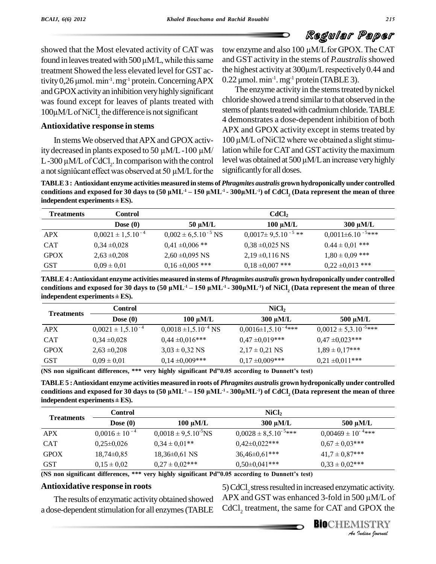showed that the Most elevated activity of CAT was tow showed that the Most elevated activity of CAT was tower found in leaves treated with  $500 \mu M/L$ , while this same and G treatment Showed the less elevated level for GST ac- the hi found in leaves treated with 500<br>treatment Showed the less elev<br>tivity 0,26 µmol. min<sup>-1</sup>. mg<sup>-1</sup> pro  $^{-1}$ . mg $^{-1}$  protein. Concerning APX  $\,$  0.22 µmol. andGPOXactivityan inhibition veryhighlysignificant was found except for leaves of plants treated with chlorid and GPOX activity an inl<br>was found except for 1<br>100μM/L of NiCl<sub>2</sub> the di  $100\mu$ M/L of NiCl<sub>2</sub> the difference is not significant

### **Antioxidative response in stems**

ity decreased in plants exposed to 50  $\mu$ M/L-100  $\mu$ M/ In stems We observed that APX and GPOX activ-<br>ity decreased in plants exposed to 50  $\mu$ M/L -100  $\mu$ M/ lat<br>L-300  $\mu$ M/L of CdCl<sub>2</sub>. In comparison with the control lev ity decreased in plants exposed to 50  $\mu$ M/L -100  $\mu$ M/ lation<br>L -300  $\mu$ M/L of CdCl<sub>2</sub>. In comparison with the control level v<br>a not significant effect was observed at 50  $\mu$ M/L for the signifi

tow enzyme and also <sup>100</sup> µM/Lfor GPOX.TheCAT and GST activity in the stems of *P.australis*showed tow enzyme and also 100 µM/L for GPOX. The CAT<br>and GST activity in the stems of *P.australis* showed<br>the highest activity at 300µm/L respectively 0.44 and and GST activity in the s<br>the highest activity at 300<br>0.22 µmol. min<sup>-1</sup>. mg<sup>-1</sup> pro <sup>-1</sup>. mg<sup>-1</sup> protein (TABLE 3).

In stems We observed that APX and GPOX activ- $100 \mu M/L$  of NiCl2 where we obtained a slight stimu-The enzyme activity in the stems treated by nickel chloride showed a trend similar to that observed in the stems of plants treated with cadmium chloride. TABLE 4 demonstrates a dose-dependent inhibition of both <sup>100</sup> µM/LofNiCl2 where we obtained <sup>a</sup> slightstimu-APX and GPOX activity except in stems treated by lation while for CAT and GST activity the maximum level was obtained at  $500 \mu M/L$  an increase very highly significantly for all doses.

a not significant effect was observed at 30  $\mu$ ivi/L for the significantly for an doses.<br>TABLE 3 : Antioxidant enzyme activities measured in stems of *Phragmites australis* grown hydroponically under controlled<br>condition a not significant effect was observed at 30  $\mu$ wi/L for the significantly for an doses.<br>TABLE 3 : Antioxidant enzyme activities measured in stems of *Phragmites australis* grown hydroponically under controlled<br>conditions **indepth of the independent conditions and exposed for 30 days independent experiments**  $\pm$  **ES).** 

| <b>Treatments</b> | <b>Control</b>           | $\text{CdCl}_2$            |                             |                            |
|-------------------|--------------------------|----------------------------|-----------------------------|----------------------------|
|                   | Dose $(0)$               | $50 \mu M/L$               | $100 \mu M/L$               | $300 \mu M/L$              |
| <b>APX</b>        | $0,0021 \pm 1,5.10^{-4}$ | $0,002 \pm 6,5.10^{-5}$ NS | $0,0017 \pm 9,5.10^{-5}$ ** | $0,0011 \pm 6.10^{-5}$ *** |
| <b>CAT</b>        | $0.34 \pm 0.028$         | $0.41 \pm 0.006$ **        | $0,38 \pm 0,025$ NS         | $0.44 \pm 0.01$ ***        |
| <b>GPOX</b>       | $2,63 \pm 0,208$         | $2,60 \pm 0,095$ NS        | $2,19 \pm 0,116$ NS         | $1,80 \pm 0,09$ ***        |
| <b>GST</b>        | $0.09 \pm 0.01$          | $0,16 \pm 0,005$ ***       | $0.18 \pm 0.007$ ***        | $0,22 \pm 0,013$ ***       |

TABLE 4: Antioxidant enzyme activities measured in stems of *Phragmites australis* grown hydroponically under controlled<br>conditions and exposed for 30 days to (50 uML<sup>-1</sup> – 150 uML<sup>-1</sup> - 300uML<sup>-1</sup>) of NiCl. (Data represe TABLE 4: Antioxidant enzyme activities measured in stems of *Phragmites australis* grown hydroponically under controlled conditions and exposed for 30 days to (50  $\mu$ ML<sup>-1</sup> – 150  $\mu$ ML<sup>-1</sup> - 300 $\mu$ ML<sup>-1</sup>) of NiCl<sub>2</sub> (D **independent experiments <sup>±</sup> ES).**

| <b>Treatments</b> | <b>Control</b>           | NiCl <sub>2</sub>           |                              |                             |
|-------------------|--------------------------|-----------------------------|------------------------------|-----------------------------|
|                   | Dose $(0)$               | $100 \mu M/L$               | $300 \mu M/L$                | $500 \mu M/L$               |
| <b>APX</b>        | $0,0021 \pm 1,5.10^{-4}$ | $0,0018 \pm 1,5.10^{-4}$ NS | $0,0016 \pm 1,5.10^{-4}$ *** | $0,0012 \pm 5,3.10^{-5***}$ |
| <b>CAT</b>        | $0.34 \pm 0.028$         | $0,44 \pm 0,016$ ***        | $0.47 \pm 0.019$ ***         | $0.47 \pm 0.023$ ***        |
| <b>GPOX</b>       | $2,63 \pm 0,208$         | $3.03 \pm 0.32$ NS          | $2,17 \pm 0,21$ NS           | $1,89 \pm 0,17***$          |
| <b>GST</b>        | $0.09 \pm 0.01$          | $0,14 \pm 0,009$ ***        | $0,17 \pm 0,009$ ***         | $0.21 \pm 0.011$ ***        |

**(NS non significant differences, \*\*\* very highly significant Pdî0.05 according to Dunnettís test)**

(ins non-significant differences, www.very-ingnity-significant-Pd^0.05-according-to-Dunnett-s-test)<br>TABLE 5 : Antioxidant enzyme activities measured in roots of *Phragmites australis* grown hydroponically under controlled (INS non significant differences, www.very.ingnity.significant.pdf/0.05 according to Dunnett's test)<br>TABLE 5 : Antioxidant enzyme activities measured in roots of *Phragmites australis* grown hydroponically under controlle **indepth 5 : Antioxidant enzyme actively conditions and exposed for 30 days independent experiments**  $\pm$  **ES).** 

| $\frac{1}{2}$     |                      |                            |                             |                           |  |
|-------------------|----------------------|----------------------------|-----------------------------|---------------------------|--|
| <b>Treatments</b> | Control              |                            | NiCl <sub>2</sub>           |                           |  |
|                   | Dose $(0)$           | $100 \mu M/L$              | 300 µM/L                    | $500 \mu M/L$             |  |
| <b>APX</b>        | $0,0016 \pm 10^{-4}$ | $0,0018 \pm 9,5.10^{5}$ NS | $0,0028 \pm 8,5.10^{-5***}$ | $0,00469 \pm 10^{-4}$ *** |  |
| <b>CAT</b>        | $0,25\pm0,026$       | $0.34 \pm 0.01**$          | $0,42\pm0,022***$           | $0.67 \pm 0.03$ ***       |  |
| <b>GPOX</b>       | $18,74\pm0,85$       | $18,36\pm0,61$ NS          | $36,46\pm0,61***$           | $41.7 \pm 0.87***$        |  |
| <b>GST</b>        | $0,15 \pm 0,02$      | $0.27 \pm 0.02$ ***        | $0,50\pm0,041***$           | $0.33 \pm 0.02$ ***       |  |

**(NS non significant differences, \*\*\* very highly significant Pdî0.05 according to Dunnettís test)**

#### **Antioxidative response in roots**

The results of enzymatic activityobtained showed a dose-dependent stimulation for all enzymes (TABLE *I.05* according to Dunnett's test)<br>  $5)$  CdCl<sub>2</sub> stress resulted in increased enzymatic activity.<br>
APX and GST was enhanced 3-fold in 500  $\mu$ M/L of<br>
CdCl<sub>2</sub> treatment, the same for CAT and GPOX the<br> **BIO**CHEMISTRY  $\text{CdCl}_2$  treatment, the same for CAT and GPOX the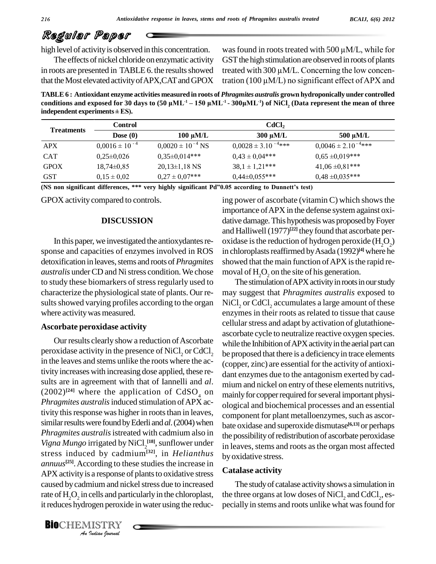high level of activity is observed in this concentration.

The effects of nickel chloride onenzymatic activity in roots are presented in TABLE 6. the results showed that the Most elevated activity of APX, CAT and GPOX tration (100  $\mu$ M/L) no significant effect of APX and

was found in roots treated with 500  $\mu$ M/L, while for GST the high stimulation are observed in roots of plants was found in roots treated with 500  $\mu$ M/L, while for<br>GST the high stimulation are observed in roots of plants<br>treated with 300  $\mu$ M/L. Concerning the low concen-GST the high stimulation are observed in roots of plants<br>treated with 300  $\mu$ M/L. Concerning the low concen-<br>tration (100  $\mu$ M/L) no significant effect of APX and

**TABLE6 : Antioxidant enzyme activities measured in roots of** *Phragmites australis* **grown hydroponically under controlled conditions and exposed for 30 days to** *(50)* **Exposed in roots** of *Phragmites australis* grove conditions and exposed for 30 days to (50  $\mu$ ML<sup>-1</sup> – 150  $\mu$ ML<sup>-1</sup> - 300 $\mu$ ML<sup>-1</sup>) of NiCl, ( conditions and exposed for 30 days to  $(50 \mu ML^{-1} - 150 \mu ML^{-1} - 300 \mu ML^{-1})$  of NiCl, (Data represent the mean of three **indepth of the independent conditions and exposed for 30 days independent experiments**  $\pm$  **ES).** 

| <b>Treatments</b> | <b>Control</b>       |                         | $\text{CdCl}_2$            |                            |
|-------------------|----------------------|-------------------------|----------------------------|----------------------------|
|                   | Dose $(0)$           | $100 \mu M/L$           | $300 \mu M/L$              | $500 \mu M/L$              |
| <b>APX</b>        | $0,0016 \pm 10^{-4}$ | $0,0020 \pm 10^{-4}$ NS | $0,0028 \pm 3.10^{-4}$ *** | $0,0046 \pm 2.10^{-4}$ *** |
| <b>CAT</b>        | $0,25\pm0,026$       | $0.35 \pm 0.014$ ***    | $0.43 \pm 0.04***$         | $0.65 \pm 0.019***$        |
| <b>GPOX</b>       | $18,74\pm0.85$       | $20,13\pm1,18$ NS       | $38.1 \pm 1.21***$         | $41,06 \pm 0,81$ ***       |
| <b>GST</b>        | $0.15 \pm 0.02$      | $0.27 \pm 0.07$ ***     | $0,44\pm0,055***$          | $0.48 \pm 0.035***$        |

**(NS non significant differences, \*\*\* very highly significant Pdî0.05 according to Dunnettís test)**

GPOX activity compared to controls.

#### **DISCUSSION**

In this paper, we investigated the antioxydantes response and capacities of enzymes involved in ROS detoxification in leaves, stems and roots of *Phragmites australis* under CD and Ni stress condition. We chose moval of H<sub>2</sub>O<sub>2</sub> on the site of his generation. to study these biomarkers of stress regularly used to The stimulation of APX activity in roots in our study characterize the physiological state of plants. Our results showed varying profiles according to the organ where activity was measured.

#### **Ascorbate peroxidase activity**

APX activity is a response of plants to oxidative stress Cau *I*s a response of<br>*Indian* and part<br>Jogen peroxid<br>*IISTRY*<br>*Indian Iournal* Our results clearly show a reduction of Ascorbate peroxidase activity in the presence of NiCl<sub>2</sub> or CdCl<sub>2</sub> in the leaves and stems unlike the roots where the activity increases with increasing dose applied, these re sults are in agreement with that of Iannelli and *al*.  $(2002)^{24}$  where the application of CdSO<sub>4</sub> on mainly *Phragmites australis* induced stimulation of APX activity this response was higher in roots than in leaves, similar results were found by Ederli and al. (2004) when *Phragmites australis*istreated with cadmium also in *Vigna Mungo* irrigated by NiCl<sub>2</sub><sup>[18]</sup>, sunflower under  $\frac{1}{\ln 16}$ stress induced by cadmium**[32]**, in *Helianthus*  $annuus^{[25]}$ . According to these studies the increase in caused by cadmium and nickel stress due to increased rate of  $H_2O_2$  in cells and particularly in the chloroplast, the it reduces hydrogen peroxide in water using the reduc-

ing power of ascorbate (vitamin  $C$ ) which shows the importance ofAPX in the defense system against oxi dative damage. This hypothesis was proposed by Foyer and Halliwell (1977)<sup>[22]</sup> they found that ascorbate peroxidase is the reduction of hydrogen peroxide  $(H<sub>2</sub>O<sub>2</sub>)$ in chloroplasts reaffirmed by Asada (1992)<sup>[4]</sup> where he showed that the main function of APX is the rapid re-

may suggest that *Phragmites australis* exposed to NiCl, or CdCl, accumulates a large amount of these enzymes in their roots as related to tissue that cause cellularstress and adapt by activation of glutathione ascorbate cycle to neutralize reactive oxygen species. while the Inhibition of APX activity in the aerial part can be proposed that there is a deficiency in trace elements (copper, zinc) are essential for the activity of antioxi dant enzymes due to the antagonism exerted by cad mium and nickel on entry of these elements nutritivs, mainly for copper required for several important physiological and biochemical processes and an essential component for plant metalloenzymes, such as ascorbate oxidase and superoxide dismutase **[6,13]** or perhaps the possibility of redistribution of ascorbate peroxidase in leaves, stems and roots as the organ most affected byoxidative stress.

#### **Catalase activity**

The studyof catalase activityshows a simulation in the three organs at low doses of  $\mathrm{NiCl}_2$  and  $\mathrm{CdCl}_2$ , especially in stems and roots unlike what was found for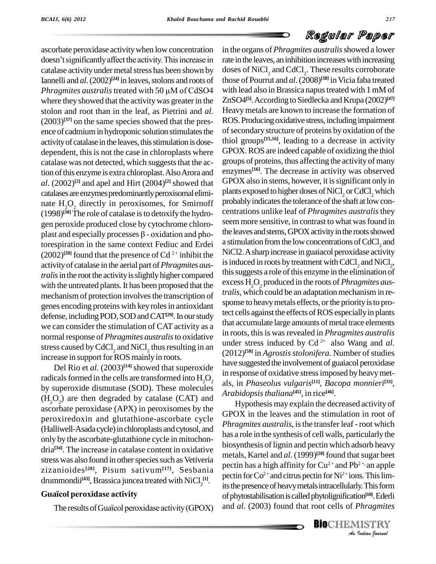ascorbate peroxidase activitywhen low concentration doesn't significantly affect the activity. This increase in catalase activity under metal stress has been shown by doses of<br>Iannelli and *al*. (2002)<sup>[24]</sup> in leaves, stolons and roots of those of<br>*Phragmites australis* treated with 50 µM of CdSO4 with lea Iannelli and *al*. (2002)<sup>[24]</sup> in leaves, stolons and roots of thos where they showed that the activity was greater in the stolon and root than in the leaf, as Pietrini and *al.*  $(2003)^{[37]}$  on the same species showed that the pres- $\overline{R}$ O ence of cadmium in hydroponic solution stimulates the activity of catalase in the leaves, this stimulation is dosedependent, this is not the case in chloroplasts where catalase was not detected, which suggests that the action of this enzyme is extra chloroplast. Also Arora and *al*. (2002) **[2]** and apel and Hirt (2004) **[2]** showed that catalases are enzymes predominantly peroxisomal eliminate  $H_2O_2$  directly in peroxisomes, for Smirnoff (1998)<sup>[50]</sup> The role of catalase is to detoxify the hydro-<br>gen peroxide produced close by cytochrome chloro-<br>plast and especially processes  $\beta$  - oxidation and pho-<br>the l gen peroxide produced close by cytochrome chloro torespiration in the same context Fediuc and Erdei  $(2002)^{[20]}$  found that the presence of Cd<sup>2+</sup> inhibit the activityof catalase in the aerial part of*Phragmites australis* in the root the activity is slightly higher compared mechanism of protection involves the transcription of genes encoding proteins with key rolesin antioxidant defense, including POD, SOD and CAT<sup>[29]</sup>. In our study we can consider the stimulation of CAT activity as a normal response of *Phragmites australis* to oxidative stress caused by CdCl<sub>2</sub> and NiCl<sub>2</sub> thus resulting in an  $(2012)$ increase in support for ROS mainly in roots.

Del Rio et *al.*  $(2003)^{14}$  showed that superoxide radicals formed in the cells are transformed into  $H_2O_2$ by superoxide dismutase (SOD). These molecules  $(H<sub>2</sub>O<sub>2</sub>)$  are then degraded by catalase (CAT) and ascorbate peroxidase (APX) in peroxisomes by the peroxiredoxin and glutathione-ascorbate cycle (Halliwell-Asada cycle) in chloroplasts and cytosol, and only by the ascorbate-glutathione cycle in mitochon dria<sup>[34]</sup>. The increase in catalase content in oxidative stress was also found in other species such as Vetiveria zizanioides **[28]**, Pisum sativum**[17]**, Sesbania drummondii<sup>[43]</sup>, Brassica juncea treated with NiCl<sub>2</sub><sup>[1]</sup>.  $\frac{P}{it}$ zizanioides<sup>1201</sup>, Pisum sativum<sup>127</sup><br>drummondii<sup>[43]</sup>, Brassica juncea treated<br>**Guaïcol peroxidase activity** 

Guaïcol peroxidase activity<br>The results of Guaïcol peroxidase activity (GPOX)

with the untreated plants. It has been proposed that the excess  $H_2O_2$  produced in the roots of *Phragmites aus*-<br>mechanism of prototion involves the transcription of *tralis*, which could be an adaptation mechanism in in the organs of *Phragmites australis*showed a lower rate in the leaves, an inhibition increases with increasing doses of  $\mathrm{NiCl}_{2}$  and  $\mathrm{CdCl}_{2}$ . These results corroborate those of Pourrut and *al*.(2008) **[38]** inVicia faba treated with lead also in Brassica napus treated with 1 mM of ZnSO4 **[5]**.According to Siedlecka and Krupa (2002) **[47]** Heavymetals are known to increase the formation of ROS. Producing oxidative stress, including impairment of secondary structure of proteins by oxidation of the thiol groups **[15,16]**, leading to a decrease in activity GPOX.ROS are indeed capable of oxidizing the thiol groups of proteins, thus affecting the activity of many enzymes **[16]**. The decrease in activity was observed GPOX also in stems, however, it is significant only in plants exposed to higher doses of NiCl<sub>2</sub> or CdCl<sub>2</sub> which probably indicates the tolerance of the shaft at low concentrations unlike leaf of *Phragmites australis*they seem more sensitive, in contrast to what was found in the leaves and stems, GPOX activity in the roots showed a stimulation from the low concentrations of CdCl, and NiCl2.Asharp increase in guaiacol peroxidase activity is induced in roots by treatment with  $\mathrm{CdCl}_{_2}$  and  $\mathrm{NiCl}_{_2}$ , this suggests a role of this enzyme in the elimination of excess H<sub>2</sub>O<sub>2</sub> produced in the roots of *Phragmites aus*sponse to heavy metals effects, or the priority is to protect cells against the effects of ROS especially in plants that accumulate large amounts of metal trace elements in roots, this is was revealed in *Phragmites australis* under stress induced by Cd 2+ also Wang and *al.* (2012)<sup>[58]</sup> in *Agrostis stolonifera*. Number of studies have suggested the involvement of guaiacol peroxidase in response of oxidative stressimposed by heavymet als, in *Phaseolus vulgaris* **[11]**, *Bacopa monnieri* **[33]**, *Arabidopsisthaliana* **[45]**, in rice **[46]**.

> pectin for Co<sup>2+</sup> and citrus pectin for Ni<sup>2+</sup> ions. This limits<br>
> the presence of heavy metals intracellularly. This form<br>
> of phytostabilisation is called phytolignification<sup>[10]</sup>. Ederli<br>
> and *al*. (2003) found that root Hypothesis may explain the decreased activity of GPOX in the leaves and the stimulation in root of *Phragmites australis*, is the transfer leaf - root which has a role in the synthesis of cell walls, particularly the biosynthesis of lignin and pectin which adsorb heavy metals, Kartel and *al*. (1999)<sup>[28]</sup> found that sugar beet pectin has a high affinity for  $Cu^{2+}$  and Pb<sup>2+,</sup> an apple its the presence of heavy metals intracellularly. This form of phytostabilisation is called phytolignification<sup>[10]</sup>. Ederli and *al*. (2003) found that root cells of *Phragmites*

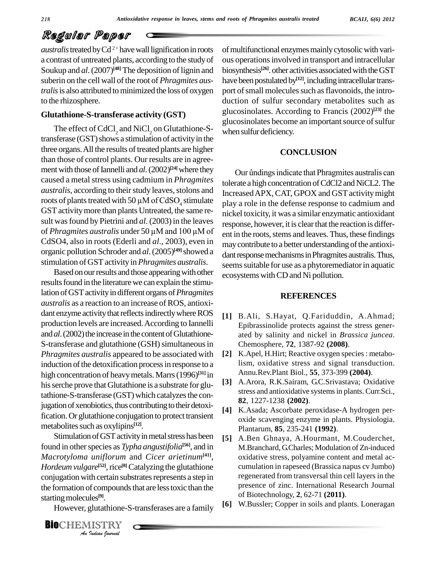*australis* treated by Cd<sup>2+</sup> have wall lignification in roots of m a contrast of untreated plants, according to the studyof Soukup and al. (2007)<sup>[48]</sup> The deposition of lignin and biosynt suberin on the cell wall of the root of *Phragmites australis* is also attributed to minimized the loss of oxygen to the rhizosphere.

### **Glutathione-S-transferase activity (GST)**

The effect of CdCl<sub>2</sub> and NiCl<sub>2</sub> on Glutathione-Stransferase (GST) shows a stimulation of activity in the three organs. All the results of treated plants are higher than those of control plants. Our results are in agree ment with those of Iannelli and  $al$ .  $(2002)^{[24]}$  where they caused a metal stress using cadmium in *Phragmites australis*, according to their study leaves, stolons and roots of plants treated with 50  $\mu$ M of CdSO<sub>4</sub> stimulate GST activity more than plants Untreated, the same result was found by Pietrini and *al*. (2003) in the leaves of *Phragmites australis* under <sup>50</sup> µM and <sup>100</sup> µM of CdSO4, also in roots (Ederli and *al*., 2003), even in organic pollution Schroder and al. (2005)<sup>[49]</sup> showed a dant re stimulation of GSTactivityin*Phragmites australis*.

Based on our results and those appearing with other results found in the literature we can explain the stimulation of GST activity in different organs of *Phragmites australis* as a reaction to an increase of ROS, antioxi dant enzyme activity that reflects indirectly where ROS production levels are increased.According to Iannelli and *al*. (2002) the increase in the content of Glutathione-S-transferase and glutathione (GSH) simultaneous in *Phragmites australis* appeared to be associated with [2] induction of the detoxification process in response to a high concentration of heavymetals.Marrs(1996) **[31]** in his serche prove that Glutathione is a substrate for glutathione-S-transferase (GST) which catalyzes the conjugation of xenobiotics, thus contributing to their detoxification.Or glutathione conjugation to protect transient metabolites such as oxylipins<sup>[12]</sup>.

**Analytical Configuration with certain substrates represents a step in**<br>
the formation of compounds that are less toxic than the<br>
starting molecules<sup>[9]</sup>.<br>
However, glutathione-S-transferases are a family<br> **BIO**CHEMISTRY Stimulation of GST activity in metal stress has been found in other species as *Typha angustifolia*<sup>[56]</sup>, and in M *Macrotyloma uniflorum* and *Cicer arietinum***[41]**, *Hordeum vulgare*<sup>[52]</sup>, rice<sup>[8]</sup> Catalyzing the glutathione c the formation of compounds that are less toxic than the starting molecules<sup>[9]</sup>.

However, glutathione-S-transferases are a family [6]

of multifunctional enzymes mainly cytosolic with various operationsinvolved in transport and intracellular biosynthesis<sup>[26]</sup>. other activities associated with the GST have been postulated by<sup>[12]</sup>, including intracellular transport of small molecules such as flavonoids, the introduction of sulfur secondary metabolites such as glucosinolates. According to Francis (2002) **[23]** the glucosinolates become an important source of sulfur when sulfur deficiency.

#### **CONCLUSION**

Our ûndings indicate that Phragmites australis can tolerate a high concentration of CdCl2 and NiCL2. The Increased APX, CAT, GPOX and GST activity might play a role in the defense response to cadmium and nickel toxicity, it was a similar enzymatic antioxidant response, however, it is clear that the reaction is different in the roots, stems and leaves. Thus, these findings may contribute to a better understanding of the antioxidant response mechanisms in Phragmites australis. Thus, seems suitable for use as a phytoremediator in aquatic ecosystems withCD and Ni pollution.

#### **REFERENCES**

- **[1]** B.Ali, S.Hayat, Q.Fariduddin, A.Ahmad; Epibrassinolide protects against the stress gener ated by salinity and nickel in *Brassica juncea*. Chemosphere, **72**, 1387-92 **(2008)**.
- K.Apel, H.Hirt; Reactive oxygen species : metabolism, oxidative stress and signal transduction. Annu.Rev.Plant Biol., **55**, 373-399 **(2004)**.
- [3] A.Arora, R.K.Sairam, G.C.Srivastava; Oxidative stress and antioxidative systemsin plants.Curr.Sci., **82**, 1227-1238 **(2002)**.
- **[4]** K.Asada; Ascorbate peroxidase-A hydrogen per oxide scavenging enzyme in plants. Physiologia. Plantarum, **85**, 235-241 **(1992)**.
- **[5]** A.Ben Ghnaya, A.Hourmant, M.Couderchet, M.Branchard, G.Charles; Modulation of Zn-induced oxidative stress, polyamine content and metal ac cumulation in rapeseed (Brassica napus cv Jumbo) regenerated from transversal thin cell layers in the presence of zinc. International Research Journal of Biotechnology, **2**, 62-71 **(2011)**.
- **[6]** W.Bussler; Copper in soils and plants. Loneragan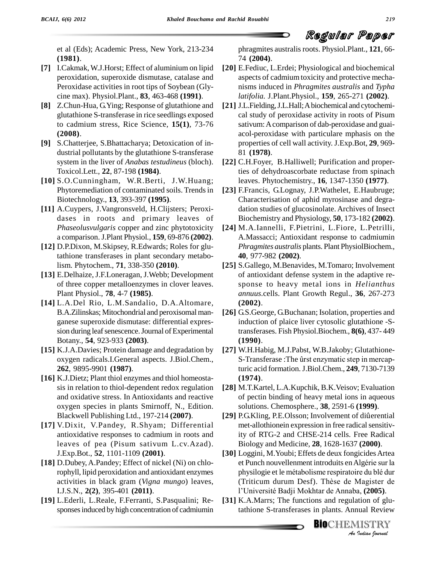

et al (Eds); Academic Press, New York, 213-234 **(1981)**.

- **[7]** I.Cakmak, W.J.Horst; Effect of aluminium on lipid peroxidation, superoxide dismutase, catalase and Peroxidase activities in root tips of Soybean (Gly cine max). Physiol.Plant., **83**, 463-468 **(1991)**.
- **[8]** Z.Chun-Hua, G.Ying; Response of glutathione and glutathione S-transferase in rice seedlings exposed to cadmium stress, Rice Science, **15(1)**, 73-76 **(2008)**.
- **[9]** S.Chatterjee, S.Bhattacharya; Detoxication of in dustrial pollutants by the glutathione S-transferase system in the liver of *Anabas testudineus* (bloch). Toxicol.Lett., **22**, 87-198 **(1984)**.
- **[10]** S.O.Cunningham, W.R.Berti, J.W.Huang; Phytoremediation of contaminated soils. Trends in Biotechnology., **13**, 393-397 **(1995)**.
- **[11]** A.Cuypers, J.Vangronsveld, H.Clijsters; Peroxi dases in roots and primary leaves of *Phaseolusvulgaris* copper and zinc phytotoxicity a comparison.J.Plant Physiol*.*, **159**, 69-876 **(2002)**.
- **[12]** D.P.Dixon, M.Skipsey, R.Edwards; Roles for glutathione transferases in plant secondary metabolism. Phytochem., **71**, 338-350 **(2010)**.
- **[13]** E.Delhaize, J.F.Loneragan, J.Webb; Development of three copper metalloenzymes in clover leaves. Plant Physiol., **78**, 4-7 **(1985)**.
- **[14]** L.A.Del Rio, L.M.Sandalio, D.A.Altomare, B.A.Zilinskas; Mitochondrial and peroxisomal man ganese superoxide dismutase: differential expres sion during leaf senescence. Journal of Experimental Botany., **54**, 923-933 **(2003)**.
- **[15]** K.J.A.Davies; Protein damage and degradation by oxygen radicals.I.General aspects. J.Biol.Chem., **262**, 9895-9901 **(1987)**.
- **[16]** K.J.Dietz; Plant thiol enzymes and thiol homeosta sis in relation to thiol-dependent redox regulation and oxidative stress. In Antioxidants and reactive oxygen species in plants Smirnoff, N., Edition. Blackwell Publishing Ltd., 197-214 **(2007)**.
- **[17]** V.Dixit, V.Pandey, R.Shyam; Differential antioxidative responses to cadmium in roots and leaves of pea (Pisum sativum L.cv.Azad). J.Exp.Bot., **52**, 1101-1109 **(2001)**.
- **[18]** D.Dubey,A.Pandey; Effect of nickel (Ni) on chlorophyll, lipid peroxidation and antioxidant enzymes activities in black gram (*Vigna mungo*) leaves, I.J.S.N., **2(2)**, 395-401 **(2011)**.
- **[19]** L.Ederli, L.Reale, F.Ferranti, S.Pasqualini; Re sponsesinduced by high concentration of cadmiumin

phragmites australisroots. Physiol.Plant., **121**, 66- 74 **(2004)**.

- **[20]** E.Fediuc, L.Erdei; Physiological and biochemical aspects of cadmium toxicity and protective mecha nisms induced in *Phragmites australis* and *Typha latifolia.* J.Plant.Physiol., **159**, 265-271 **(2002)**.
- [21] J.L.Fielding, J.L.Hall; A biochemical and cytochemical study of peroxidase activity in roots of Pisum sativum:Acomparison of dab-peroxidase and guai acol-peroxidase with particulare mphasis on the properties of cell wall activity. J.Exp.Bot, **29**, 969- 81 **(1978)**.
- **[22]** C.H.Foyer, B.Halliwell; Purification and properties of dehydroascorbate reductase from spinach leaves. Phytochemistry., **16**, 1347-1350 **(1977)**.
- **[23]** F.Francis, G.Lognay, J.P.Wathelet, E.Haubruge; Characterisation of aphid myrosinase and degradation studies of glucosinolate. Archives of Insect Biochemistry and Physiology, **50**, 173-182 **(2002)**.
- **[24]** M.A.Iannelli, F.Pietrini, L.Fiore, L.Petrilli, A.Massacci; Antioxidant response to cadmiumin *Phragmites australis* plants. Plant PhysiolBiochem., **40**, 977-982 **(2002)**.
- **[25]** S.Gallego, M.Benavides, M.Tomaro; Involvement of antioxidant defense system in the adaptive re sponse to heavy metal ions in *Helianthus annuus.*cells. Plant Growth Regul., **36**, 267-273 **(2002)**.
- **[26]** G.S.George, G.Buchanan; Isolation, properties and induction of plaice liver cytosolic glutathione -Stransferases. Fish Physiol.Biochem., **8(6)**, 437- 449 **(1990)**.
- **[27]** W.H.Habig, M.J.Pabst, W.B.Jakoby; Glutathione- S-Transferase : The ûrst enzymatic step in mercapturic acid formation.J.Biol.Chem., **249**, 7130-7139 **(1974)**.
- [28] M.T.Kartel, L.A.Kupchik, B.K.Veisov; Evaluation<br>
of pectin binding of heavy metal ions in aqueous<br>
solutions. Chemosphere., **38**, 2591-6 (**1999**).<br>
[29] P.G.Kling, P.E.Olsson; Involvement of diûerential of pectin binding of heavy metal ions in aqueous solutions. Chemosphere., **38**, 2591-6 **(1999)**.
- met-allothionein expression in free radical sensitivity of RTG-2 and CHSE-214 cells. Free Radical Biology and Medicine, **28**, 1628-1637 **(2000)**.
- *An*re du blé dur<br>Magister de<br>a, (**2005**).<br>Indian Peview<br>**IISTRY [30]** Loggini, M.Youbi; Effets de deux fongicidesArtea Biology and Medicine, **28**, 1628-1637 (**2000**).<br>Loggini, M.Youbi; Effets de deux fongicides Artea<br>et Punch nouvellenment introduits en Algérie sur la Loggini, M.Youbi; Effets de deux fongicides Artea<br>et Punch nouvellenment introduits en Algérie sur la<br>physilogie et le métabolisme respiratoire du blé dur et Punch nouvellenment introduits en Algérie sur la<br>physilogie et le métabolisme respiratoire du blé dur<br>(Triticum durum Desf). Thèse de Magister de physilogie et le métabolisme respiratoire du blé dur<br>(Triticum durum Desf). Thèse de Magister de<br>l'Université Badji Mokhtar de Annaba, (**2005**).
- **[31]** K.A.Marrs; The functions and regulation of glutathione S-transferases in plants. Annual Review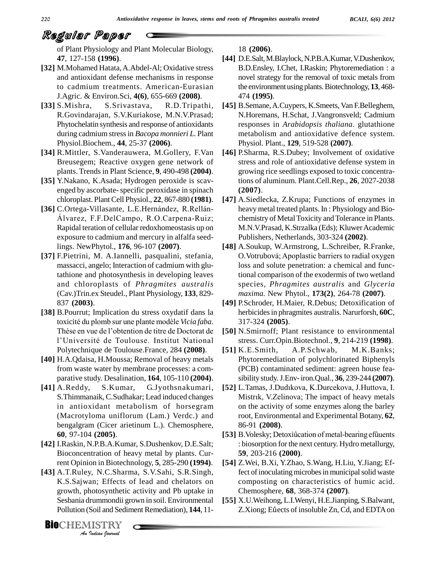of Plant Physiology and Plant Molecular Biology, **47**, 127-158 **(1996)**.

- [32] M.Mohamed Hatata, A.Abdel-Al; Oxidative stress and antioxidant defense mechanisms in response to cadmium treatments. American-Eurasian J.Agric. & Environ.Sci, **4(6)**, 655-669 **(2008)**.
- **[33]** S.Mishra, S.Srivastava, R.D.Tripathi, R.Govindarajan, S.V.Kuriakose, M.N.V.Prasad; Phytochelatin synthesis and response of antioxidants during cadmium stressin *Bacopa monnieri L.* Plant Physiol.Biochem., **44**, 25-37 **(2006)**.
- **[34]** R.Mittler, S.Vanderauwera, M.Gollery, F.Van Breusegem; Reactive oxygen gene network of plants. Trends in Plant Science, **9**, 490-498 **(2004)**.
- **[35]** Y.Nakano, K.Asada; Hydrogen peroxide is scav enged by ascorbate-specific peroxidase in spinach
- chloroplast. Plant Cell Physiol., **22**, 867-880 **(1981)**. [4]<br>C.Ortega-Villasante, L.E.Hernández, R.Rellán-<br>Álvarez, F.F.DelCampo, R.O.Carpena-Ruiz; [36] C.Ortega-Villasante, L.E.Hernández, R.Rellán-Rapidal teration of cellular redoxhomeostasis up on exposure to cadmium and mercury in alfalfa seedlings. NewPhytol., **176**, 96-107 **(2007)**.
- **[37]** F.Pietrini, M. A.Iannelli, pasqualini, stefania, massacci, angelo; Interaction of cadmium with glutathione and photosynthesis in developing leaves and chloroplasts of *Phragmites australis* (Cav.)Trin.ex Steudel., Plant Physiology, **133**, 829- 837 **(2003)**.
- **[38]** B.Pourrut; Implication du stress oxydatif dans la 14 837 (**2003**). [4<br>
B. Pourrut; Implication du stress oxydatif dans la<br>
toxicité du plomb sur une plante modèle *Vicia faba*. B. Pourrut; Implication du stress oxydatif dans la<br>toxicité du plomb sur une plante modèle *Vicia faba*.<br>Thèse en vue de l'obtention de titre de Doctorat de [50] toxicité du plomb sur une plante modèle Vicia faba.<br>Thèse en vue de l'obtention de titre de Doctorat de<br>l'Université de Toulouse. Institut National Polytechnique de Toulouse.France, 284 **(2008)**.
- **[40]** H.A.Qdaisa, H.Moussa; Removal of heavy metals from waste water by membrane processes: a comparative study. Desalination, **164**, 105-110 **(2004)**.
- **[41]** A.Reddy, S.Kumar, G.Jyothsnakumari, S.Thimmanaik, C.Sudhakar; Lead induced changes in antioxidant metabolism of horsegram (Macrotyloma uniflorum (Lam.) Verdc.) and bengalgram (Cicer arietinum L.). Chemosphere, **60**, 97-104 **(2005)**.
- **[42]** I.Raskin, N.P.B.A.Kumar, S.Dushenkov, D.E.Salt; Bioconcentration of heavy metal by plants. Current Opinion in Biotechnology, **5**, 285-290 **(1994)**.
- *An***[43]** A.T.Ruley, N.C.Sharma, S.V.Sahi, S.R.Singh, *I*, N.C.Sharr<br>an; Effects<br>hotosynthetic<br>Irummondii gr<br>Judian Journal<br>Indian Journal K.S.Sajwan; Effects of lead and chelators on growth, photosynthetic activity and Pb uptake in Sesbania drummondii grown in soil.Environmental Pollution (Soil and Sediment Remediation), **144**, 11-

**BIO**CHEMISTRY<br>An Indian Journal

18 **(2006)**.

- [44] D.E.Salt, M.Blaylock, N.P.B.A.Kumar, V.Dushenkov, B.D.Ensley, I.Chet, I.Raskin; Phytoremediation : a novel strategy for the removal of toxic metals from the environmentusing plants.Biotechnology, **13**, 468- 474 **(1995)**.
- **[45]** B.Semane,A.Cuypers, K.Smeets, Van F.Belleghem, N.Horemans, H.Schat, J.Vangronsveld; Cadmium responses in *Arabidopsis thaliana*. glutathione metabolism and antioxidative defence system. Physiol. Plant., **129**, 519-528 **(2007)**.
- **[46]** P.Sharma, R.S.Dubey; Involvement of oxidative stress and role of antioxidative defense system in growing rice seedlings exposed to toxic concentrations of aluminum. Plant.Cell.Rep., **26**, 2027-2038 **(2007)**.
- **[47]** A.Siedlecka, Z.Krupa; Functions of enzymes in heavy metal treated plants. In : Physiology and Bio chemistry of Metal Toxicity and Tolerance in Plants. M.N.V.Prasad, K.Strzalka (Eds); Kluwer Academic Publishers, Netherlands, 303-324 **(2002)**.
- **[48]** A.Soukup, W.Armstrong, L.Schreiber, R.Franke, Publishers, Netherlands, 303-324 (**2002**).<br>A.Soukup, W.Armstrong, L.Schreiber, R.Franke,<br>O.Votrubová; Apoplastic barriers to radial oxygen loss and solute penetration: a chemical and functional comparison of the exodermis of two wetland species, *Phragmites australis* and *Glyceria maxima*. New Phytol.,**173(2)**, 264-78 **(2007)**.
- **[49]** P.Schroder, H.Maier, R.Debus; Detoxification of herbicides in phragmites australis. Narurforsh, 60C, 317-324 **(2005)**.
- **[50]** N.Smirnoff; Plant resistance to environmental stress. Curr.Opin.Biotechnol., **9**, 214-219 **(1998)**.
- **[51]** K.E.Smith, A.P.Schwab, M.K.Banks; Phytoremediation of polychlorinated Biphenyls (PCB) contaminated sediment: agreen house fea sibility study.J.Env-iron.Qual., **36**, 239-244 **(2007)**. (PCB) contaminated sediment: agreen house feasibility study. J.Env- iron.Qual., **36**, 239-244 (**2007**).<br>[52] L.Tamas, J.Dudıkova, K.Durcekova, J.Huttova, I.
- sibility study. J.Env- iron.Qual., **36**, 239-244 (**2007**).<br>L.Tamas, J.Dudıkova, K.Durcekova, J.Huttova, I.<br>Mistrik, V.Zelinova; The impact of heavy metals on the activity of some enzymes along the barley root, Environmental and Experimental Botany, **62**, 86-91 **(2008)**.
- [53] B. Volesky; Detoxiûcation of metal-bearing efûuents : biosorption for the next century. Hydro metallurgy, **59**, 203-216 **(2000)**.
- **[54]** Z.Wei, B.Xi, Y.Zhao, S.Wang, H.Liu, Y.Jiang; Effect of inoculating microbes in municipal solid waste composting on characteristics of humic acid.<br>Chemosphere, **68**, 368-374 (**2007**).<br>X.U.Weihong, L.I.Wenyi, H.E.Jianping, S.Balwant,<br>Z.Xiong; Eûects of insoluble Zn, Cd, and EDTA on Chemosphere, **68**, 368-374 **(2007)**.
- **[55]** X.U.Weihong,L.I.Wenyi, H.E.Jianping, S.Balwant,